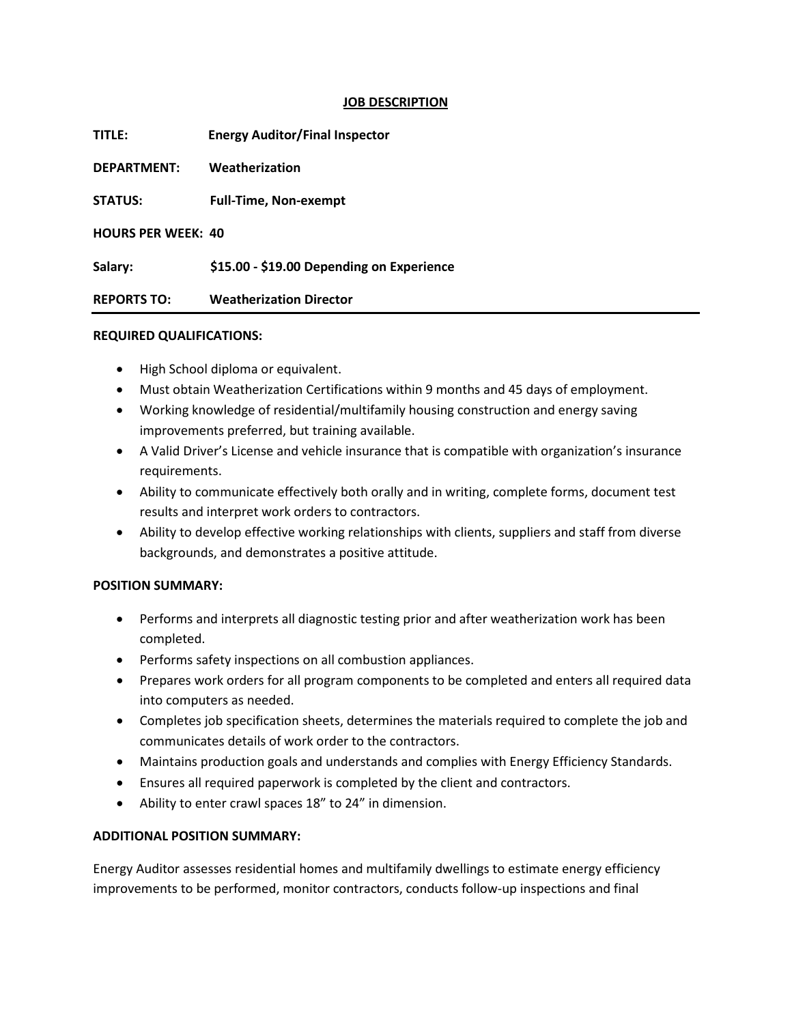## **JOB DESCRIPTION**

| <b>TITLE:</b>             | <b>Energy Auditor/Final Inspector</b>     |  |
|---------------------------|-------------------------------------------|--|
| DEPARTMENT:               | Weatherization                            |  |
| <b>STATUS:</b>            | <b>Full-Time, Non-exempt</b>              |  |
| <b>HOURS PER WEEK: 40</b> |                                           |  |
| Salary:                   | \$15.00 - \$19.00 Depending on Experience |  |
| <b>REPORTS TO:</b>        | <b>Weatherization Director</b>            |  |

## **REQUIRED QUALIFICATIONS:**

- High School diploma or equivalent.
- Must obtain Weatherization Certifications within 9 months and 45 days of employment.
- Working knowledge of residential/multifamily housing construction and energy saving improvements preferred, but training available.
- A Valid Driver's License and vehicle insurance that is compatible with organization's insurance requirements.
- Ability to communicate effectively both orally and in writing, complete forms, document test results and interpret work orders to contractors.
- Ability to develop effective working relationships with clients, suppliers and staff from diverse backgrounds, and demonstrates a positive attitude.

## **POSITION SUMMARY:**

- Performs and interprets all diagnostic testing prior and after weatherization work has been completed.
- Performs safety inspections on all combustion appliances.
- Prepares work orders for all program components to be completed and enters all required data into computers as needed.
- Completes job specification sheets, determines the materials required to complete the job and communicates details of work order to the contractors.
- Maintains production goals and understands and complies with Energy Efficiency Standards.
- Ensures all required paperwork is completed by the client and contractors.
- Ability to enter crawl spaces 18" to 24" in dimension.

## **ADDITIONAL POSITION SUMMARY:**

Energy Auditor assesses residential homes and multifamily dwellings to estimate energy efficiency improvements to be performed, monitor contractors, conducts follow-up inspections and final